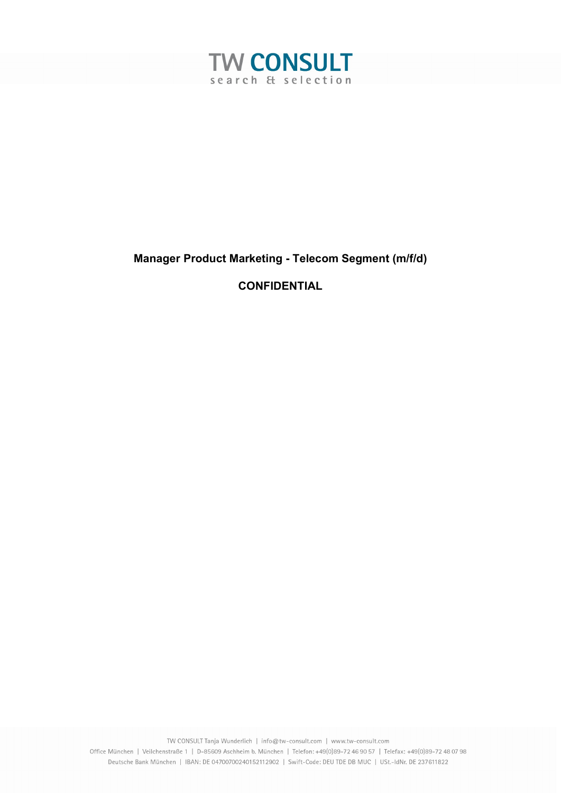

# Manager Product Marketing - Telecom Segment (m/f/d)

# **CONFIDENTIAL**

TW CONSULT Tanja Wunderlich | info@tw-consult.com | www.tw-consult.com Office München | Veilchenstraße 1 | D-85609 Aschheim b. München | Telefon: +49(0)89-72 46 90 57 | Telefax: +49(0)89-72 48 07 98 Deutsche Bank München | IBAN: DE 04700700240152112902 | Swift-Code: DEU TDE DB MUC | USt.-IdNr. DE 237611822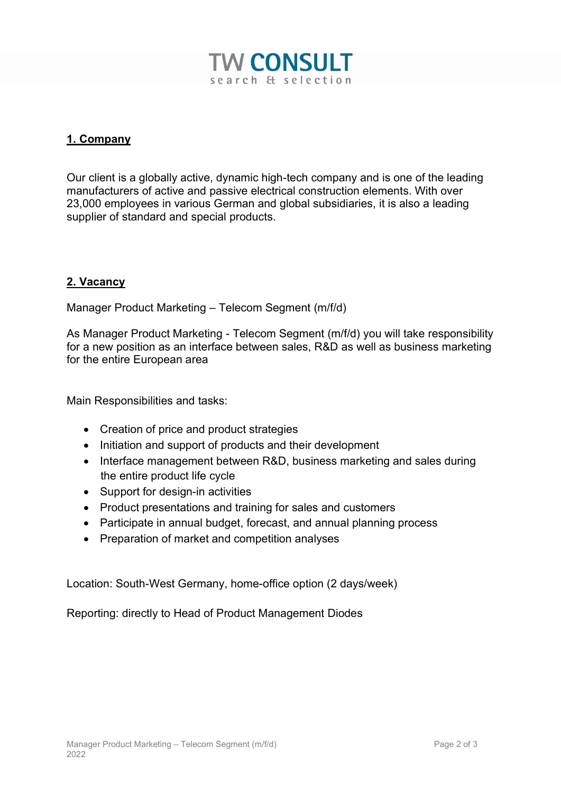

### 1. Company

Our client is a globally active, dynamic high-tech company and is one of the leading manufacturers of active and passive electrical construction elements. With over 23,000 employees in various German and global subsidiaries, it is also a leading supplier of standard and special products.

#### 2. Vacancy

Manager Product Marketing – Telecom Segment (m/f/d)

As Manager Product Marketing - Telecom Segment (m/f/d) you will take responsibility for a new position as an interface between sales, R&D as well as business marketing for the entire European area

Main Responsibilities and tasks:

- Creation of price and product strategies
- Initiation and support of products and their development
- Interface management between R&D, business marketing and sales during the entire product life cycle
- Support for design-in activities
- Product presentations and training for sales and customers
- Participate in annual budget, forecast, and annual planning process
- Preparation of market and competition analyses

Location: South-West Germany, home-office option (2 days/week)

Reporting: directly to Head of Product Management Diodes